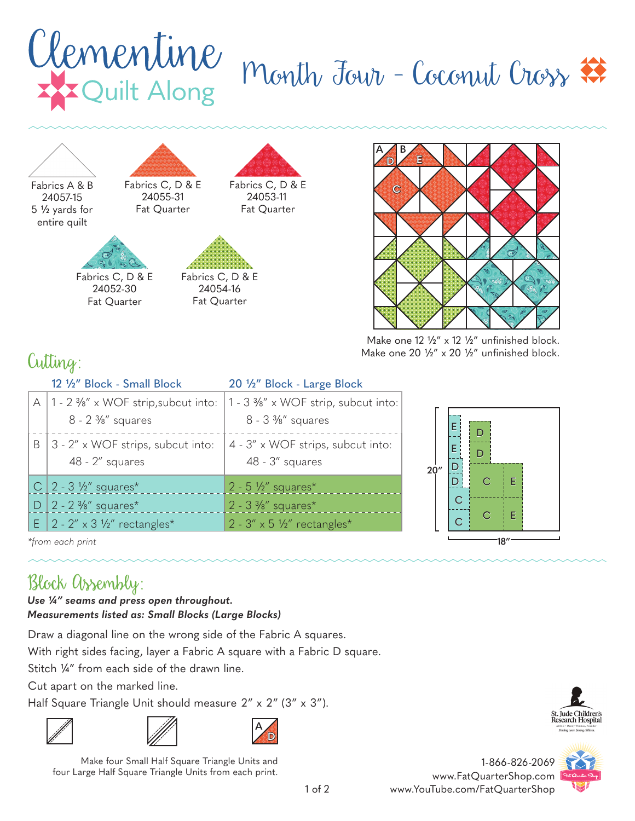## Clementine<br>Exquilt Along Month Jour - Coconut Cross



Fabrics A & B 5 1/2 yards for entire quilt 24057-15



Fat Quarter Fabrics C, D & E 24053-11



24052-30 Fat Quarter



Fabrics C, D & E 24054-16 Fat Quarter



Make one  $12 \frac{1}{2}$ " x  $12 \frac{1}{2}$ " unfinished block. Make one 20  $\frac{1}{2}$ " x 20  $\frac{1}{2}$ " unfinished block.

## Cutting:

|   | 12 1/2" Block - Small Block                                                        | 20 1/2" Block - Large Block                                |
|---|------------------------------------------------------------------------------------|------------------------------------------------------------|
|   | $\forall$<br>$1 - 2$ %" x WOF strip, subcut into:<br>$8 - 2 \frac{3}{8}$ " squares | 1 - 3 %" x WOF strip, subcut into:<br>$8 - 3 \%$ " squares |
| B | 3 - 2" x WOF strips, subcut into:<br>$48 - 2''$ squares                            | 4 - 3" x WOF strips, subcut into:<br>48 - 3" squares       |
|   | C   2 - 3 $\frac{1}{2}$ " squares*                                                 | $2 - 5\frac{1}{2}$ squares <sup>*</sup>                    |
|   | $2 - 2 \frac{3}{8}$ squares <sup>*</sup>                                           | $2 - 3$ %" squares*                                        |
|   | E   2 - 2" x 3 $\frac{1}{2}$ " rectangles*                                         | $2 - 3'' \times 5$ 1/2" rectangles*                        |



*\*from each print*

## Block Assembly:

*Use ¼" seams and press open throughout. Measurements listed as: Small Blocks (Large Blocks)*

Draw a diagonal line on the wrong side of the Fabric A squares.

With right sides facing, layer a Fabric A square with a Fabric D square.

Stitch ¼" from each side of the drawn line.

Cut apart on the marked line.

Half Square Triangle Unit should measure 2" x 2" (3" x 3").







**D A**

Make four Small Half Square Triangle Units and four Large Half Square Triangle Units from each print.